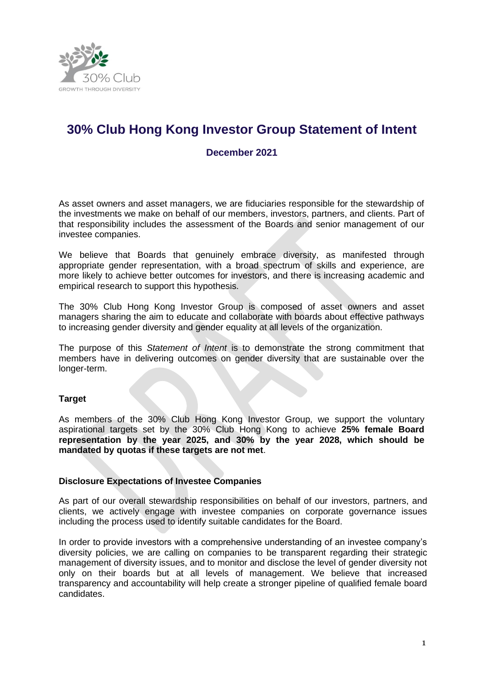

# **30% Club Hong Kong Investor Group Statement of Intent**

# **December 2021**

As asset owners and asset managers, we are fiduciaries responsible for the stewardship of the investments we make on behalf of our members, investors, partners, and clients. Part of that responsibility includes the assessment of the Boards and senior management of our investee companies.

We believe that Boards that genuinely embrace diversity, as manifested through appropriate gender representation, with a broad spectrum of skills and experience, are more likely to achieve better outcomes for investors, and there is increasing academic and empirical research to support this hypothesis.

The 30% Club Hong Kong Investor Group is composed of asset owners and asset managers sharing the aim to educate and collaborate with boards about effective pathways to increasing gender diversity and gender equality at all levels of the organization.

The purpose of this *Statement of Intent* is to demonstrate the strong commitment that members have in delivering outcomes on gender diversity that are sustainable over the longer-term.

#### **Target**

As members of the 30% Club Hong Kong Investor Group, we support the voluntary aspirational targets set by the 30% Club Hong Kong to achieve **25% female Board representation by the year 2025, and 30% by the year 2028, which should be mandated by quotas if these targets are not met**.

#### **Disclosure Expectations of Investee Companies**

As part of our overall stewardship responsibilities on behalf of our investors, partners, and clients, we actively engage with investee companies on corporate governance issues including the process used to identify suitable candidates for the Board.

In order to provide investors with a comprehensive understanding of an investee company's diversity policies, we are calling on companies to be transparent regarding their strategic management of diversity issues, and to monitor and disclose the level of gender diversity not only on their boards but at all levels of management. We believe that increased transparency and accountability will help create a stronger pipeline of qualified female board candidates.